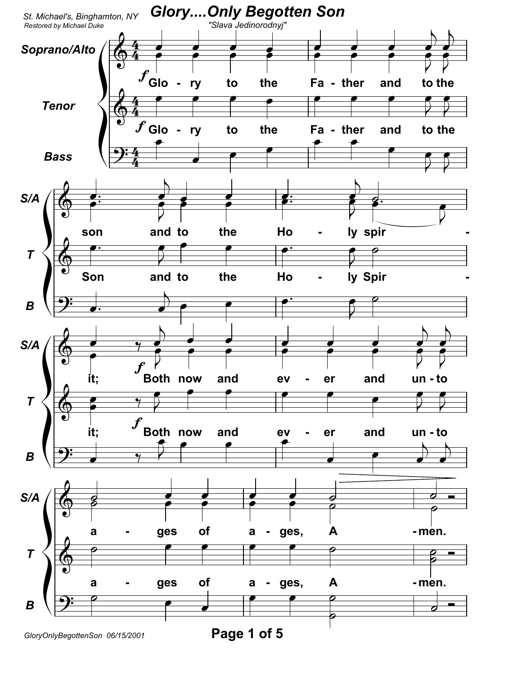

GloryOnlyBegottenSon 06/15/2001

Page 1 of 5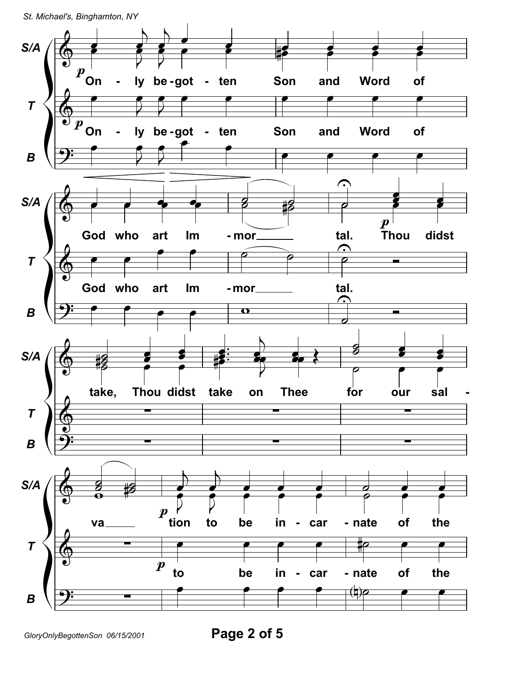St. Michael's, Binghamton, NY



Page 2 of 5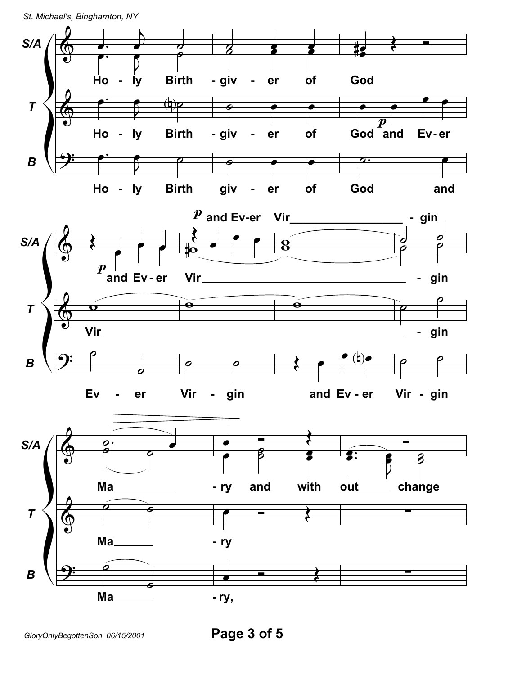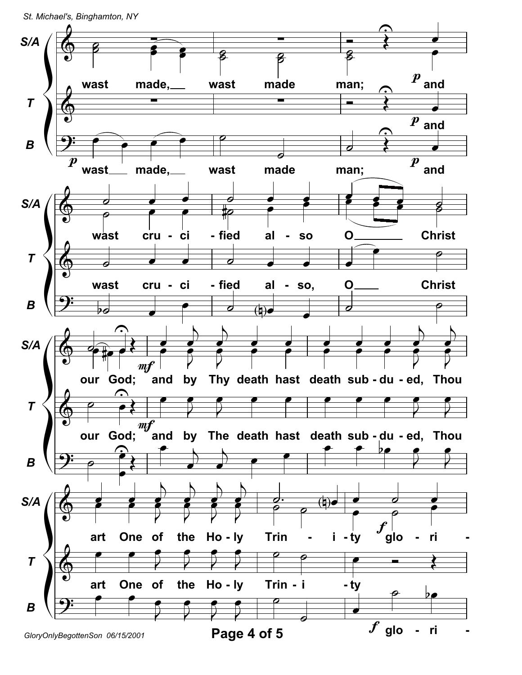